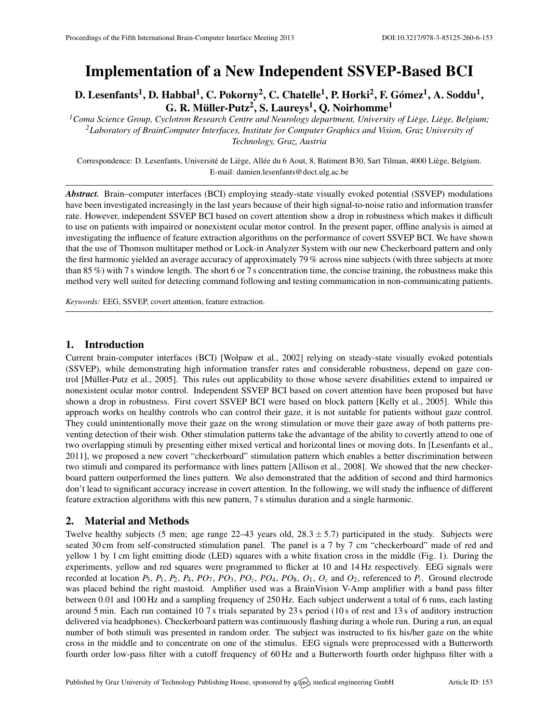# Implementation of a New Independent SSVEP-Based BCI

D. Lesenfants $^1$ , D. Habbal $^1$ , C. Pokorny $^2$ , C. Chatelle $^1$ , P. Horki $^2$ , F. Gómez $^1$ , A. Soddu $^1$ , G. R. Müller-Putz $^2$ , S. Laureys $^1$ , Q. Noirhomme $^1$ 

<sup>1</sup> Coma Science Group, Cyclotron Research Centre and Neurology department, University of Liège, Liège, Belgium; *<sup>2</sup>Laboratory of BrainComputer Interfaces, Institute for Computer Graphics and Vision, Graz University of Technology, Graz, Austria*

Correspondence: D. Lesenfants, Université de Liège, Allée du 6 Aout, 8, Batiment B30, Sart Tilman, 4000 Liège, Belgium. E-mail: [damien.lesenfants@doct.ulg.ac.be](mailto:damien.lesenfants@doct.ulg.ac.be)

*Abstract.* Brain–computer interfaces (BCI) employing steady-state visually evoked potential (SSVEP) modulations have been investigated increasingly in the last years because of their high signal-to-noise ratio and information transfer rate. However, independent SSVEP BCI based on covert attention show a drop in robustness which makes it difficult to use on patients with impaired or nonexistent ocular motor control. In the present paper, offline analysis is aimed at investigating the influence of feature extraction algorithms on the performance of covert SSVEP BCI. We have shown that the use of Thomson multitaper method or Lock-in Analyzer System with our new Checkerboard pattern and only the first harmonic yielded an average accuracy of approximately 79 % across nine subjects (with three subjects at more than 85 %) with 7 s window length. The short 6 or 7 s concentration time, the concise training, the robustness make this method very well suited for detecting command following and testing communication in non-communicating patients.

*Keywords:* EEG, SSVEP, covert attention, feature extraction.

#### 1. Introduction

Current brain-computer interfaces (BCI) [\[Wolpaw et al.,](#page-1-0) [2002\]](#page-1-0) relying on steady-state visually evoked potentials (SSVEP), while demonstrating high information transfer rates and considerable robustness, depend on gaze con-trol [Müller-Putz et al., [2005\]](#page-1-1). This rules out applicability to those whose severe disabilities extend to impaired or nonexistent ocular motor control. Independent SSVEP BCI based on covert attention have been proposed but have shown a drop in robustness. First covert SSVEP BCI were based on block pattern [\[Kelly et al.,](#page-1-2) [2005\]](#page-1-2). While this approach works on healthy controls who can control their gaze, it is not suitable for patients without gaze control. They could unintentionally move their gaze on the wrong stimulation or move their gaze away of both patterns preventing detection of their wish. Other stimulation patterns take the advantage of the ability to covertly attend to one of two overlapping stimuli by presenting either mixed vertical and horizontal lines or moving dots. In [\[Lesenfants et al.,](#page-1-3) [2011\]](#page-1-3), we proposed a new covert "checkerboard" stimulation pattern which enables a better discrimination between two stimuli and compared its performance with lines pattern [\[Allison et al.,](#page-1-4) [2008\]](#page-1-4). We showed that the new checkerboard pattern outperformed the lines pattern. We also demonstrated that the addition of second and third harmonics don't lead to significant accuracy increase in covert attention. In the following, we will study the influence of different feature extraction algorithms with this new pattern, 7 s stimulus duration and a single harmonic.

# 2. Material and Methods

Twelve healthy subjects (5 men; age range  $22-43$  years old,  $28.3 \pm 5.7$ ) participated in the study. Subjects were seated 30 cm from self-constructed stimulation panel. The panel is a 7 by 7 cm "checkerboard" made of red and yellow 1 by 1 cm light emitting diode (LED) squares with a white fixation cross in the middle (Fig. [1\)](#page-1-5). During the experiments, yellow and red squares were programmed to flicker at 10 and 14 Hz respectively. EEG signals were recorded at location  $P_3$ ,  $P_1$ ,  $P_2$ ,  $P_4$ ,  $PO_7$ ,  $PO_3$ ,  $PO_2$ ,  $PO_4$ ,  $PO_8$ ,  $O_1$ ,  $O_2$  and  $O_2$ , referenced to  $P_2$ . Ground electrode was placed behind the right mastoid. Amplifier used was a BrainVision V-Amp amplifier with a band pass filter between 0.01 and 100 Hz and a sampling frequency of 250 Hz. Each subject underwent a total of 6 runs, each lasting around 5 min. Each run contained 10 7 s trials separated by 23 s period (10 s of rest and 13 s of auditory instruction delivered via headphones). Checkerboard pattern was continuously flashing during a whole run. During a run, an equal number of both stimuli was presented in random order. The subject was instructed to fix his/her gaze on the white cross in the middle and to concentrate on one of the stimulus. EEG signals were preprocessed with a Butterworth fourth order low-pass filter with a cutoff frequency of 60 Hz and a Butterworth fourth order highpass filter with a